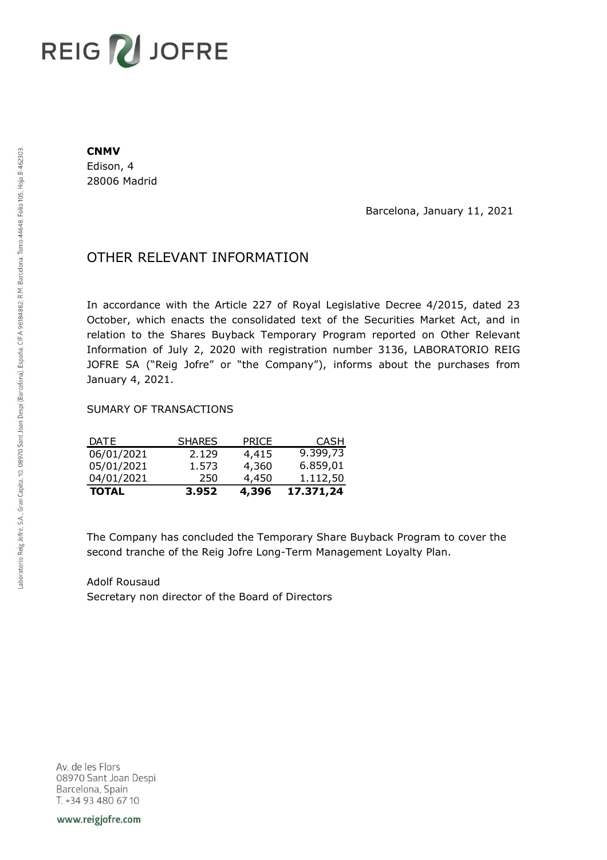## **REIG Z JOFRE**

## **CNMV**

Edison, 4 28006 Madrid

Barcelona, January 11, 2021

## OTHER RELEVANT INFORMATION

In accordance with the Article 227 of Royal Legislative Decree 4/2015, dated 23 October, which enacts the consolidated text of the Securities Market Act, and in relation to the Shares Buyback Temporary Program reported on Other Relevant Information of July 2, 2020 with registration number 3136, LABORATORIO REIG JOFRE SA ("Reig Jofre" or "the Company"), informs about the purchases from January 4, 2021.

## SUMARY OF TRANSACTIONS

| <b>TOTAL</b> | 3.952         | 4,396        | 17.371,24   |
|--------------|---------------|--------------|-------------|
| 04/01/2021   | 250           | 4,450        | 1.112,50    |
| 05/01/2021   | 1.573         | 4,360        | 6.859,01    |
| 06/01/2021   | 2.129         | 4,415        | 9.399,73    |
| DATE         | <b>SHARES</b> | <b>PRICE</b> | <b>CASH</b> |

The Company has concluded the Temporary Share Buyback Program to cover the second tranche of the Reig Jofre Long-Term Management Loyalty Plan.

Adolf Rousaud Secretary non director of the Board of Directors

Av. de les Flors 08970 Sant Joan Despi Barcelona, Spain T. +34 93 480 67 10

www.reigjofre.com